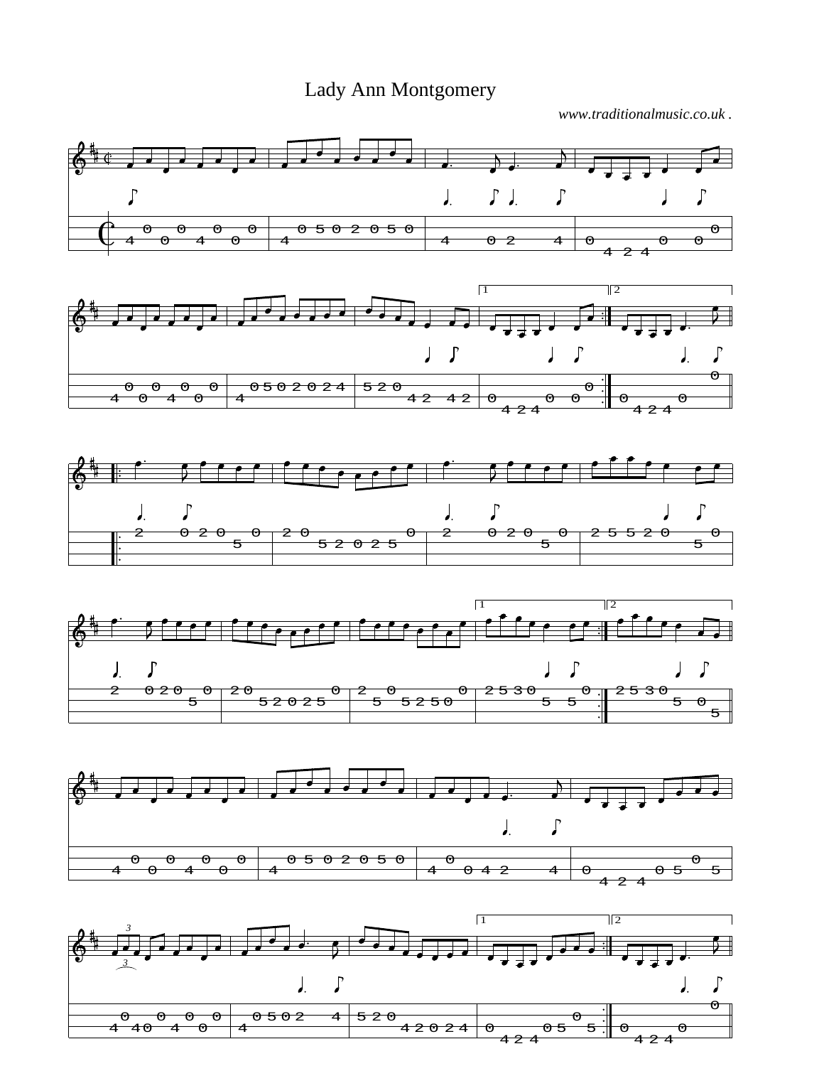## Lady Ann Montgomery

*www.traditionalmusic.co.uk .*